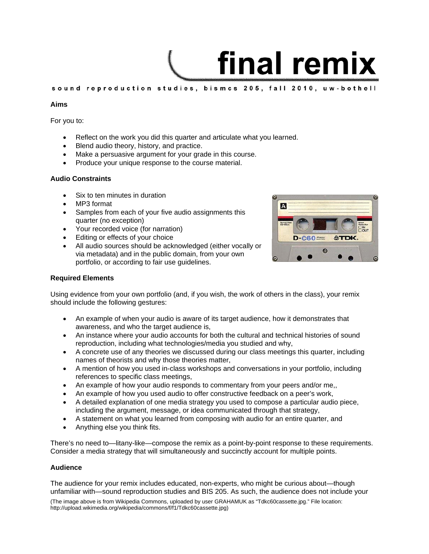# final remix

sound reproduction studies, bismcs 205, fall 2010, uw-bothell

### **Aims**

For you to:

- Reflect on the work you did this quarter and articulate what you learned.
- Blend audio theory, history, and practice.
- Make a persuasive argument for your grade in this course.
- Produce your unique response to the course material.

### **Audio Constraints**

- Six to ten minutes in duration
- MP3 format
- Samples from each of your five audio assignments this quarter (no exception)
- Your recorded voice (for narration)
- Editing or effects of your choice
- All audio sources should be acknowledged (either vocally or via metadata) and in the public domain, from your own portfolio, or according to fair use guidelines.



### **Required Elements**

Using evidence from your own portfolio (and, if you wish, the work of others in the class), your remix should include the following gestures:

- An example of when your audio is aware of its target audience, how it demonstrates that awareness, and who the target audience is,
- An instance where your audio accounts for both the cultural and technical histories of sound reproduction, including what technologies/media you studied and why,
- A concrete use of any theories we discussed during our class meetings this quarter, including names of theorists and why those theories matter,
- A mention of how you used in-class workshops and conversations in your portfolio, including references to specific class meetings,
- An example of how your audio responds to commentary from your peers and/or me,,
- An example of how you used audio to offer constructive feedback on a peer's work,
- A detailed explanation of one media strategy you used to compose a particular audio piece, including the argument, message, or idea communicated through that strategy,
- A statement on what you learned from composing with audio for an entire quarter, and
- Anything else you think fits.

There's no need to—litany-like—compose the remix as a point-by-point response to these requirements. Consider a media strategy that will simultaneously and succinctly account for multiple points.

### **Audience**

The audience for your remix includes educated, non-experts, who might be curious about—though unfamiliar with—sound reproduction studies and BIS 205. As such, the audience does not include your

(The image above is from Wikipedia Commons, uploaded by user GRAHAMUK as "Tdkc60cassette.jpg ." File location: http://upload.wikimedia.org/wikipedia/commons/f/f1/Tdkc60cassette.jpg)